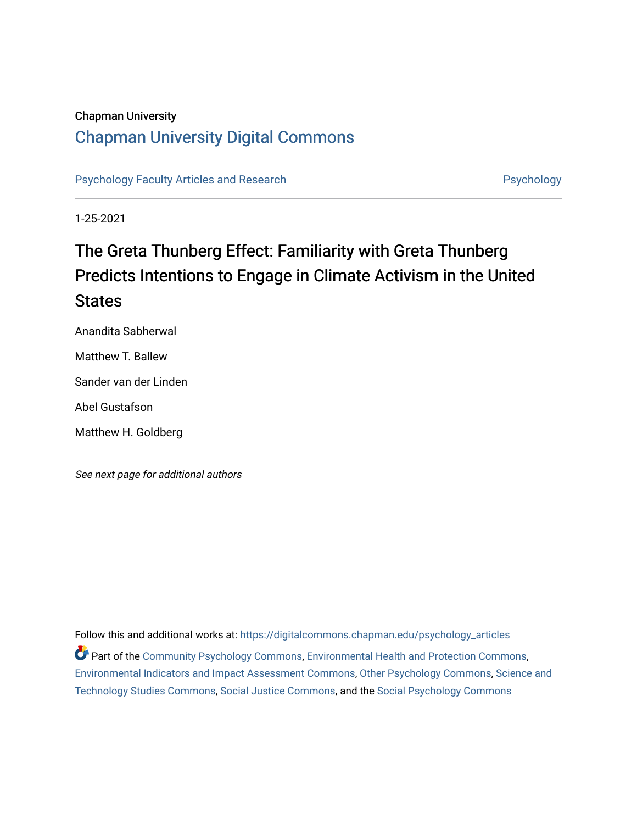## Chapman University

## [Chapman University Digital Commons](https://digitalcommons.chapman.edu/)

[Psychology Faculty Articles and Research](https://digitalcommons.chapman.edu/psychology_articles) **Psychology** Psychology

1-25-2021

# The Greta Thunberg Effect: Familiarity with Greta Thunberg Predicts Intentions to Engage in Climate Activism in the United **States**

Anandita Sabherwal Matthew T. Ballew Sander van der Linden

Abel Gustafson

Matthew H. Goldberg

See next page for additional authors

Follow this and additional works at: [https://digitalcommons.chapman.edu/psychology\\_articles](https://digitalcommons.chapman.edu/psychology_articles?utm_source=digitalcommons.chapman.edu%2Fpsychology_articles%2F235&utm_medium=PDF&utm_campaign=PDFCoverPages) Part of the [Community Psychology Commons,](http://network.bepress.com/hgg/discipline/409?utm_source=digitalcommons.chapman.edu%2Fpsychology_articles%2F235&utm_medium=PDF&utm_campaign=PDFCoverPages) [Environmental Health and Protection Commons](http://network.bepress.com/hgg/discipline/172?utm_source=digitalcommons.chapman.edu%2Fpsychology_articles%2F235&utm_medium=PDF&utm_campaign=PDFCoverPages), [Environmental Indicators and Impact Assessment Commons,](http://network.bepress.com/hgg/discipline/1015?utm_source=digitalcommons.chapman.edu%2Fpsychology_articles%2F235&utm_medium=PDF&utm_campaign=PDFCoverPages) [Other Psychology Commons](http://network.bepress.com/hgg/discipline/415?utm_source=digitalcommons.chapman.edu%2Fpsychology_articles%2F235&utm_medium=PDF&utm_campaign=PDFCoverPages), [Science and](http://network.bepress.com/hgg/discipline/435?utm_source=digitalcommons.chapman.edu%2Fpsychology_articles%2F235&utm_medium=PDF&utm_campaign=PDFCoverPages)  [Technology Studies Commons,](http://network.bepress.com/hgg/discipline/435?utm_source=digitalcommons.chapman.edu%2Fpsychology_articles%2F235&utm_medium=PDF&utm_campaign=PDFCoverPages) [Social Justice Commons,](http://network.bepress.com/hgg/discipline/1432?utm_source=digitalcommons.chapman.edu%2Fpsychology_articles%2F235&utm_medium=PDF&utm_campaign=PDFCoverPages) and the [Social Psychology Commons](http://network.bepress.com/hgg/discipline/414?utm_source=digitalcommons.chapman.edu%2Fpsychology_articles%2F235&utm_medium=PDF&utm_campaign=PDFCoverPages)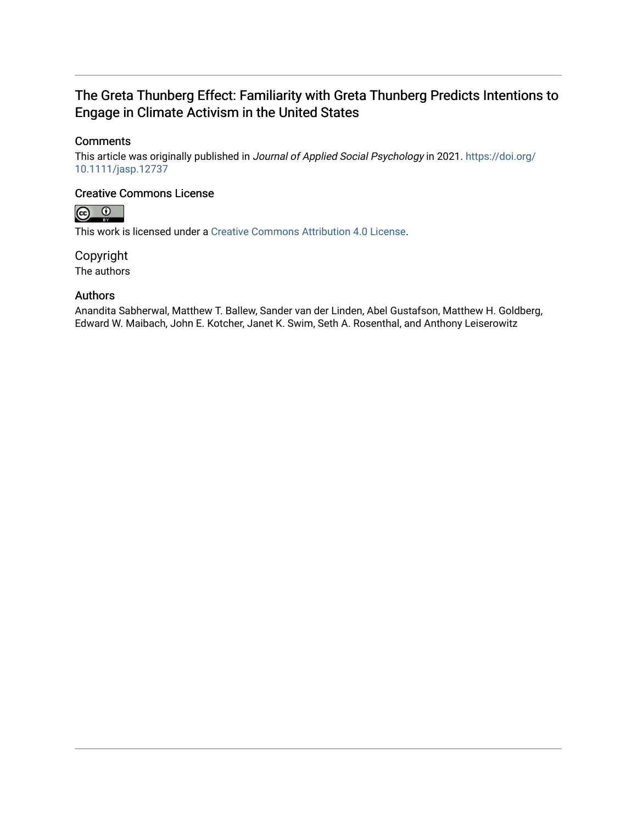## The Greta Thunberg Effect: Familiarity with Greta Thunberg Predicts Intentions to Engage in Climate Activism in the United States

## **Comments**

This article was originally published in Journal of Applied Social Psychology in 2021. [https://doi.org/](https://doi.org/10.1111/jasp.12737) [10.1111/jasp.12737](https://doi.org/10.1111/jasp.12737) 

## Creative Commons License



This work is licensed under a [Creative Commons Attribution 4.0 License](https://creativecommons.org/licenses/by/4.0/).

Copyright The authors

## Authors

Anandita Sabherwal, Matthew T. Ballew, Sander van der Linden, Abel Gustafson, Matthew H. Goldberg, Edward W. Maibach, John E. Kotcher, Janet K. Swim, Seth A. Rosenthal, and Anthony Leiserowitz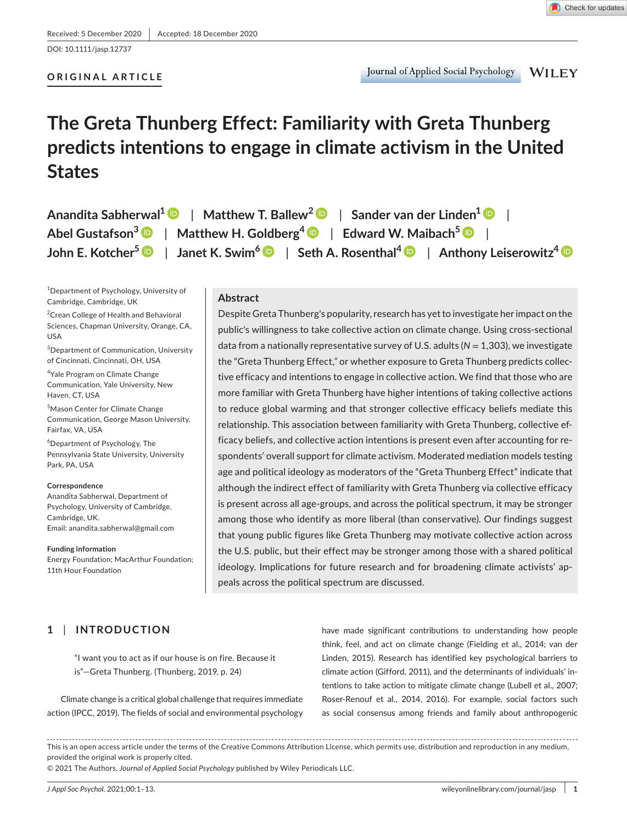DOI: 10.1111/jasp.12737

#### **ORIGINAL ARTICLE**

# **The Greta Thunberg Effect: Familiarity with Greta Thunberg predicts intentions to engage in climate activism in the United States**

| Anandita Sabherwal <sup>1</sup> $\bullet$   Matthew T. Ballew <sup>2</sup> $\bullet$   Sander van der Linden <sup>1</sup> $\bullet$                                       |
|---------------------------------------------------------------------------------------------------------------------------------------------------------------------------|
| Abel Gustafson <sup>3</sup> $\bullet$   Matthew H. Goldberg <sup>4</sup> $\bullet$   Edward W. Maibach <sup>5</sup> $\bullet$                                             |
| John E. Kotcher <sup>5</sup> $\bigcirc$   Janet K. Swim <sup>6</sup> $\bigcirc$   Seth A. Rosenthal <sup>4</sup> $\bigcirc$   Anthony Leiserowitz <sup>4</sup> $\bigcirc$ |

1 Department of Psychology, University of Cambridge, Cambridge, UK

<sup>2</sup> Crean College of Health and Behavioral Sciences, Chapman University, Orange, CA, USA

3 Department of Communication, University of Cincinnati, Cincinnati, OH, USA

4 Yale Program on Climate Change Communication, Yale University, New Haven, CT, USA

5 Mason Center for Climate Change Communication, George Mason University, Fairfax, VA, USA

6 Department of Psychology, The Pennsylvania State University, University Park, PA, USA

**Correspondence** Anandita Sabherwal, Department of Psychology, University of Cambridge, Cambridge, UK. Email: [anandita.sabherwal@gmail.com](mailto:anandita.sabherwal@gmail.com)

**Funding information** Energy Foundation; MacArthur Foundation; 11th Hour Foundation

#### **Abstract**

Despite Greta Thunberg's popularity, research has yet to investigate her impact on the public's willingness to take collective action on climate change. Using cross-sectional data from a nationally representative survey of U.S. adults (*N* = 1,303), we investigate the "Greta Thunberg Effect,*"* or whether exposure to Greta Thunberg predicts collective efficacy and intentions to engage in collective action. We find that those who are more familiar with Greta Thunberg have higher intentions of taking collective actions to reduce global warming and that stronger collective efficacy beliefs mediate this relationship. This association between familiarity with Greta Thunberg, collective efficacy beliefs, and collective action intentions is present even after accounting for respondents' overall support for climate activism. Moderated mediation models testing age and political ideology as moderators of the "Greta Thunberg Effect" indicate that although the indirect effect of familiarity with Greta Thunberg via collective efficacy is present across all age-groups, and across the political spectrum, it may be stronger among those who identify as more liberal (than conservative). Our findings suggest that young public figures like Greta Thunberg may motivate collective action across the U.S. public, but their effect may be stronger among those with a shared political ideology. Implications for future research and for broadening climate activists' appeals across the political spectrum are discussed.

## **1** | **INTRODUCTION**

"I want you to act as if our house is on fire. Because it is"—Greta Thunberg. (Thunberg, 2019, p. 24)

Climate change is a critical global challenge that requires immediate action (IPCC, 2019). The fields of social and environmental psychology

have made significant contributions to understanding how people think, feel, and act on climate change (Fielding et al., 2014; van der Linden, 2015). Research has identified key psychological barriers to climate action (Gifford, 2011), and the determinants of individuals' intentions to take action to mitigate climate change (Lubell et al., 2007; Roser-Renouf et al., 2014, 2016). For example, social factors such as social consensus among friends and family about anthropogenic

This is an open access article under the terms of the [Creative Commons Attribution](http://creativecommons.org/licenses/by/4.0/) License, which permits use, distribution and reproduction in any medium, provided the original work is properly cited.

© 2021 The Authors. *Journal of Applied Social Psychology* published by Wiley Periodicals LLC.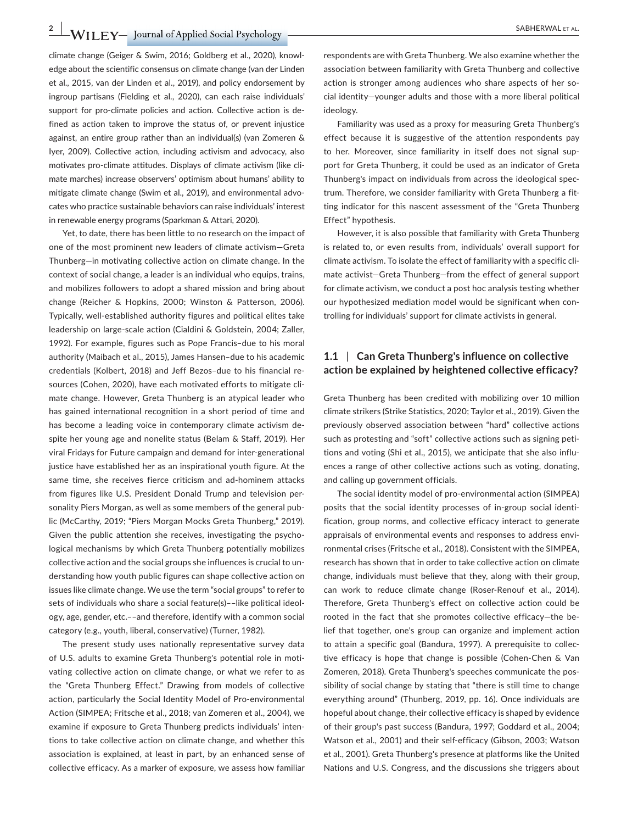**2 |**  SABHERWAL et al.

climate change (Geiger & Swim, 2016; Goldberg et al., 2020), knowledge about the scientific consensus on climate change (van der Linden et al., 2015, van der Linden et al., 2019), and policy endorsement by ingroup partisans (Fielding et al., 2020), can each raise individuals' support for pro-climate policies and action. Collective action is defined as action taken to improve the status of, or prevent injustice against, an entire group rather than an individual(s) (van Zomeren & Iyer, 2009). Collective action, including activism and advocacy, also motivates pro-climate attitudes. Displays of climate activism (like climate marches) increase observers' optimism about humans' ability to mitigate climate change (Swim et al., 2019), and environmental advocates who practice sustainable behaviors can raise individuals' interest in renewable energy programs (Sparkman & Attari, 2020).

Yet, to date, there has been little to no research on the impact of one of the most prominent new leaders of climate activism—Greta Thunberg—in motivating collective action on climate change. In the context of social change, a leader is an individual who equips, trains, and mobilizes followers to adopt a shared mission and bring about change (Reicher & Hopkins, 2000; Winston & Patterson, 2006). Typically, well-established authority figures and political elites take leadership on large-scale action (Cialdini & Goldstein, 2004; Zaller, 1992). For example, figures such as Pope Francis–due to his moral authority (Maibach et al., 2015), James Hansen–due to his academic credentials (Kolbert, 2018) and Jeff Bezos–due to his financial resources (Cohen, 2020), have each motivated efforts to mitigate climate change. However, Greta Thunberg is an atypical leader who has gained international recognition in a short period of time and has become a leading voice in contemporary climate activism despite her young age and nonelite status (Belam & Staff, 2019). Her viral Fridays for Future campaign and demand for inter-generational justice have established her as an inspirational youth figure. At the same time, she receives fierce criticism and ad-hominem attacks from figures like U.S. President Donald Trump and television personality Piers Morgan, as well as some members of the general public (McCarthy, 2019; "Piers Morgan Mocks Greta Thunberg," 2019). Given the public attention she receives, investigating the psychological mechanisms by which Greta Thunberg potentially mobilizes collective action and the social groups she influences is crucial to understanding how youth public figures can shape collective action on issues like climate change. We use the term "social groups" to refer to sets of individuals who share a social feature(s)––like political ideology, age, gender, etc.––and therefore, identify with a common social category (e.g., youth, liberal, conservative) (Turner, 1982).

The present study uses nationally representative survey data of U.S. adults to examine Greta Thunberg's potential role in motivating collective action on climate change, or what we refer to as the "Greta Thunberg Effect." Drawing from models of collective action, particularly the Social Identity Model of Pro-environmental Action (SIMPEA; Fritsche et al., 2018; van Zomeren et al., 2004), we examine if exposure to Greta Thunberg predicts individuals' intentions to take collective action on climate change, and whether this association is explained, at least in part, by an enhanced sense of collective efficacy. As a marker of exposure, we assess how familiar

respondents are with Greta Thunberg. We also examine whether the association between familiarity with Greta Thunberg and collective action is stronger among audiences who share aspects of her social identity—younger adults and those with a more liberal political ideology.

Familiarity was used as a proxy for measuring Greta Thunberg's effect because it is suggestive of the attention respondents pay to her. Moreover, since familiarity in itself does not signal support for Greta Thunberg, it could be used as an indicator of Greta Thunberg's impact on individuals from across the ideological spectrum. Therefore, we consider familiarity with Greta Thunberg a fitting indicator for this nascent assessment of the "Greta Thunberg Effect" hypothesis.

However, it is also possible that familiarity with Greta Thunberg is related to, or even results from, individuals' overall support for climate activism. To isolate the effect of familiarity with a specific climate activist—Greta Thunberg—from the effect of general support for climate activism, we conduct a post hoc analysis testing whether our hypothesized mediation model would be significant when controlling for individuals' support for climate activists in general.

#### **1.1** | **Can Greta Thunberg's influence on collective action be explained by heightened collective efficacy?**

Greta Thunberg has been credited with mobilizing over 10 million climate strikers (Strike Statistics, 2020; Taylor et al., 2019). Given the previously observed association between "hard" collective actions such as protesting and "soft" collective actions such as signing petitions and voting (Shi et al., 2015), we anticipate that she also influences a range of other collective actions such as voting, donating, and calling up government officials.

The social identity model of pro-environmental action (SIMPEA) posits that the social identity processes of in-group social identification, group norms, and collective efficacy interact to generate appraisals of environmental events and responses to address environmental crises (Fritsche et al., 2018). Consistent with the SIMPEA, research has shown that in order to take collective action on climate change, individuals must believe that they, along with their group, can work to reduce climate change (Roser-Renouf et al., 2014). Therefore, Greta Thunberg's effect on collective action could be rooted in the fact that she promotes collective efficacy—the belief that together, one's group can organize and implement action to attain a specific goal (Bandura, 1997). A prerequisite to collective efficacy is hope that change is possible (Cohen-Chen & Van Zomeren, 2018). Greta Thunberg's speeches communicate the possibility of social change by stating that "there is still time to change everything around" (Thunberg, 2019, pp. 16). Once individuals are hopeful about change, their collective efficacy is shaped by evidence of their group's past success (Bandura, 1997; Goddard et al., 2004; Watson et al., 2001) and their self-efficacy (Gibson, 2003; Watson et al., 2001). Greta Thunberg's presence at platforms like the United Nations and U.S. Congress, and the discussions she triggers about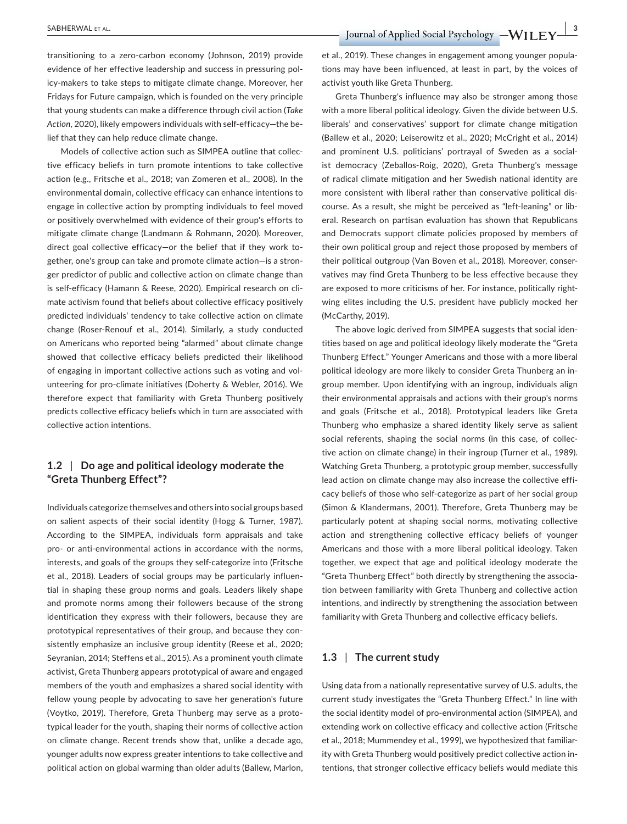**SABHERWAL ET AL. 3ABHERWAL ET AL. 3ABHERWAL ET AL. 3ABHERWAL ET AL. 3ABHERWAL ET AL. 3ABHERWAL ET AL. 3ABHERWAL ET AL. 3ABHERWAL ET AL. 3ABHERWAL ET AL. 3ABHERWAL ET AL. 3ABHERWAL ET AL. 3ABHERWAL** 

transitioning to a zero-carbon economy (Johnson, 2019) provide evidence of her effective leadership and success in pressuring policy-makers to take steps to mitigate climate change. Moreover, her Fridays for Future campaign, which is founded on the very principle that young students can make a difference through civil action (*Take Action*, 2020), likely empowers individuals with self-efficacy—the belief that they can help reduce climate change.

Models of collective action such as SIMPEA outline that collective efficacy beliefs in turn promote intentions to take collective action (e.g., Fritsche et al., 2018; van Zomeren et al., 2008). In the environmental domain, collective efficacy can enhance intentions to engage in collective action by prompting individuals to feel moved or positively overwhelmed with evidence of their group's efforts to mitigate climate change (Landmann & Rohmann, 2020). Moreover, direct goal collective efficacy—or the belief that if they work together, one's group can take and promote climate action—is a stronger predictor of public and collective action on climate change than is self-efficacy (Hamann & Reese, 2020). Empirical research on climate activism found that beliefs about collective efficacy positively predicted individuals' tendency to take collective action on climate change (Roser-Renouf et al., 2014). Similarly, a study conducted on Americans who reported being "alarmed" about climate change showed that collective efficacy beliefs predicted their likelihood of engaging in important collective actions such as voting and volunteering for pro-climate initiatives (Doherty & Webler, 2016). We therefore expect that familiarity with Greta Thunberg positively predicts collective efficacy beliefs which in turn are associated with collective action intentions.

#### **1.2** | **Do age and political ideology moderate the "Greta Thunberg Effect"?**

Individuals categorize themselves and others into social groups based on salient aspects of their social identity (Hogg & Turner, 1987). According to the SIMPEA, individuals form appraisals and take pro- or anti-environmental actions in accordance with the norms, interests, and goals of the groups they self-categorize into (Fritsche et al., 2018). Leaders of social groups may be particularly influential in shaping these group norms and goals. Leaders likely shape and promote norms among their followers because of the strong identification they express with their followers, because they are prototypical representatives of their group, and because they consistently emphasize an inclusive group identity (Reese et al., 2020; Seyranian, 2014; Steffens et al., 2015). As a prominent youth climate activist, Greta Thunberg appears prototypical of aware and engaged members of the youth and emphasizes a shared social identity with fellow young people by advocating to save her generation's future (Voytko, 2019). Therefore, Greta Thunberg may serve as a prototypical leader for the youth, shaping their norms of collective action on climate change. Recent trends show that, unlike a decade ago, younger adults now express greater intentions to take collective and political action on global warming than older adults (Ballew, Marlon,

et al., 2019). These changes in engagement among younger populations may have been influenced, at least in part, by the voices of activist youth like Greta Thunberg.

Greta Thunberg's influence may also be stronger among those with a more liberal political ideology. Given the divide between U.S. liberals' and conservatives' support for climate change mitigation (Ballew et al., 2020; Leiserowitz et al., 2020; McCright et al., 2014) and prominent U.S. politicians' portrayal of Sweden as a socialist democracy (Zeballos-Roig, 2020), Greta Thunberg's message of radical climate mitigation and her Swedish national identity are more consistent with liberal rather than conservative political discourse. As a result, she might be perceived as "left-leaning" or liberal. Research on partisan evaluation has shown that Republicans and Democrats support climate policies proposed by members of their own political group and reject those proposed by members of their political outgroup (Van Boven et al., 2018). Moreover, conservatives may find Greta Thunberg to be less effective because they are exposed to more criticisms of her. For instance, politically rightwing elites including the U.S. president have publicly mocked her (McCarthy, 2019).

The above logic derived from SIMPEA suggests that social identities based on age and political ideology likely moderate the "Greta Thunberg Effect." Younger Americans and those with a more liberal political ideology are more likely to consider Greta Thunberg an ingroup member. Upon identifying with an ingroup, individuals align their environmental appraisals and actions with their group's norms and goals (Fritsche et al., 2018). Prototypical leaders like Greta Thunberg who emphasize a shared identity likely serve as salient social referents, shaping the social norms (in this case, of collective action on climate change) in their ingroup (Turner et al., 1989). Watching Greta Thunberg, a prototypic group member, successfully lead action on climate change may also increase the collective efficacy beliefs of those who self-categorize as part of her social group (Simon & Klandermans, 2001). Therefore, Greta Thunberg may be particularly potent at shaping social norms, motivating collective action and strengthening collective efficacy beliefs of younger Americans and those with a more liberal political ideology. Taken together, we expect that age and political ideology moderate the "Greta Thunberg Effect" both directly by strengthening the association between familiarity with Greta Thunberg and collective action intentions, and indirectly by strengthening the association between familiarity with Greta Thunberg and collective efficacy beliefs.

#### **1.3** | **The current study**

Using data from a nationally representative survey of U.S. adults, the current study investigates the "Greta Thunberg Effect." In line with the social identity model of pro-environmental action (SIMPEA), and extending work on collective efficacy and collective action (Fritsche et al., 2018; Mummendey et al., 1999), we hypothesized that familiarity with Greta Thunberg would positively predict collective action intentions, that stronger collective efficacy beliefs would mediate this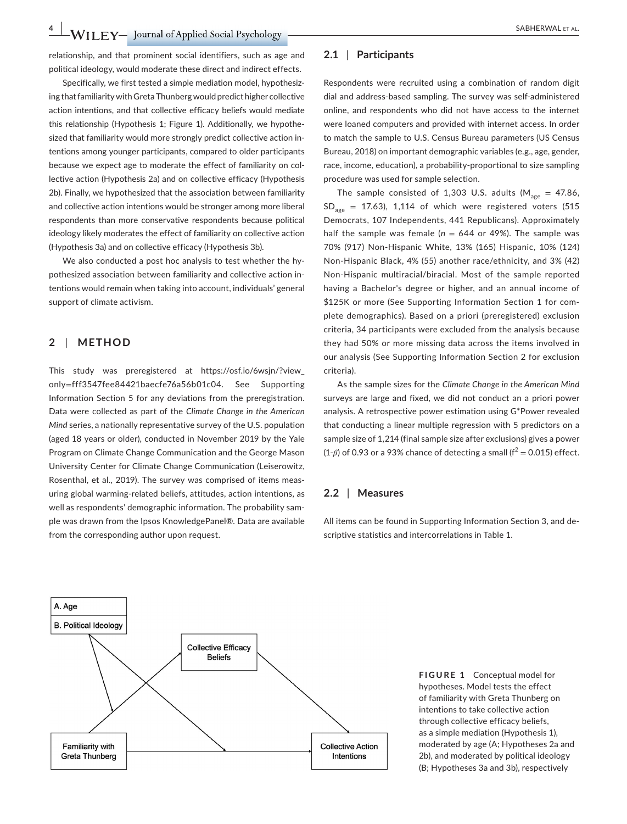**4 |**  SABHERWAL et al.

relationship, and that prominent social identifiers, such as age and political ideology, would moderate these direct and indirect effects.

Specifically, we first tested a simple mediation model, hypothesizing that familiarity with Greta Thunberg would predict higher collective action intentions, and that collective efficacy beliefs would mediate this relationship (Hypothesis 1; Figure 1). Additionally, we hypothesized that familiarity would more strongly predict collective action intentions among younger participants, compared to older participants because we expect age to moderate the effect of familiarity on collective action (Hypothesis 2a) and on collective efficacy (Hypothesis 2b). Finally, we hypothesized that the association between familiarity and collective action intentions would be stronger among more liberal respondents than more conservative respondents because political ideology likely moderates the effect of familiarity on collective action (Hypothesis 3a) and on collective efficacy (Hypothesis 3b).

We also conducted a post hoc analysis to test whether the hypothesized association between familiarity and collective action intentions would remain when taking into account, individuals' general support of climate activism.

#### **2** | **METHOD**

This study was preregistered at [https://osf.io/6wsjn/?view\\_](https://osf.io/6wsjn/?view_only=fff3547fee84421baecfe76a56b01c04) only=[fff3547fee84421baecfe76a56b01c04.](https://osf.io/6wsjn/?view_only=fff3547fee84421baecfe76a56b01c04) See Supporting Information Section 5 for any deviations from the preregistration. Data were collected as part of the *Climate Change in the American Mind* series, a nationally representative survey of the U.S. population (aged 18 years or older), conducted in November 2019 by the Yale Program on Climate Change Communication and the George Mason University Center for Climate Change Communication (Leiserowitz, Rosenthal, et al., 2019). The survey was comprised of items measuring global warming-related beliefs, attitudes, action intentions, as well as respondents' demographic information. The probability sample was drawn from the Ipsos KnowledgePanel®. Data are available from the corresponding author upon request.

#### **2.1** | **Participants**

Respondents were recruited using a combination of random digit dial and address-based sampling. The survey was self-administered online, and respondents who did not have access to the internet were loaned computers and provided with internet access. In order to match the sample to U.S. Census Bureau parameters (US Census Bureau, 2018) on important demographic variables (e.g., age, gender, race, income, education), a probability-proportional to size sampling procedure was used for sample selection.

The sample consisted of 1,303 U.S. adults ( $M_{\text{age}} = 47.86$ ,  $SD<sub>age</sub> = 17.63$ , 1,114 of which were registered voters (515) Democrats, 107 Independents, 441 Republicans). Approximately half the sample was female ( $n = 644$  or 49%). The sample was 70% (917) Non-Hispanic White, 13% (165) Hispanic, 10% (124) Non-Hispanic Black, 4% (55) another race/ethnicity, and 3% (42) Non-Hispanic multiracial/biracial. Most of the sample reported having a Bachelor's degree or higher, and an annual income of \$125K or more (See Supporting Information Section 1 for complete demographics). Based on a priori (preregistered) exclusion criteria, 34 participants were excluded from the analysis because they had 50% or more missing data across the items involved in our analysis (See Supporting Information Section 2 for exclusion criteria).

As the sample sizes for the *Climate Change in the American Mind* surveys are large and fixed, we did not conduct an a priori power analysis. A retrospective power estimation using G\*Power revealed that conducting a linear multiple regression with 5 predictors on a sample size of 1,214 (final sample size after exclusions) gives a power  $(1-\beta)$  of 0.93 or a 93% chance of detecting a small ( $f^2 = 0.015$ ) effect.

#### **2.2** | **Measures**

All items can be found in Supporting Information Section 3, and descriptive statistics and intercorrelations in Table 1.



**FIGURE 1** Conceptual model for hypotheses. Model tests the effect of familiarity with Greta Thunberg on intentions to take collective action through collective efficacy beliefs, as a simple mediation (Hypothesis 1), moderated by age (A; Hypotheses 2a and 2b), and moderated by political ideology (B; Hypotheses 3a and 3b), respectively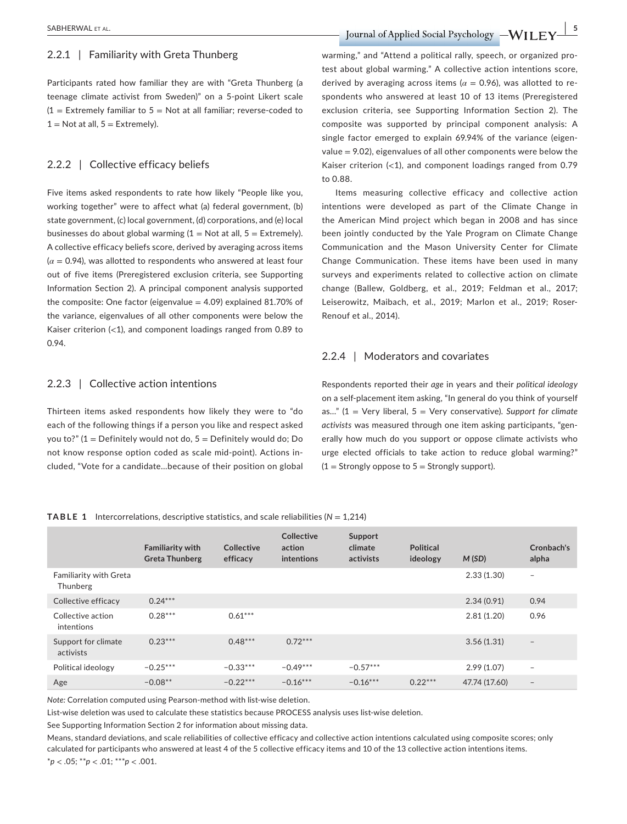**SABHERWAL ET AL.** SABHERWAL ET AL.

Participants rated how familiar they are with "Greta Thunberg (a teenage climate activist from Sweden)" on a 5-point Likert scale  $(1 =$  Extremely familiar to 5 = Not at all familiar; reverse-coded to  $1 = Not$  at all,  $5 = Extremely$ ).

#### 2.2.2 | Collective efficacy beliefs

Five items asked respondents to rate how likely "People like you, working together" were to affect what (a) federal government, (b) state government, (c) local government, (d) corporations, and (e) local businesses do about global warming  $(1 = Not at all, 5 = Extremely)$ . A collective efficacy beliefs score, derived by averaging across items  $(\alpha = 0.94)$ , was allotted to respondents who answered at least four out of five items (Preregistered exclusion criteria, see Supporting Information Section 2). A principal component analysis supported the composite: One factor (eigenvalue  $= 4.09$ ) explained 81.70% of the variance, eigenvalues of all other components were below the Kaiser criterion (<1), and component loadings ranged from 0.89 to 0.94.

#### 2.2.3 | Collective action intentions

Thirteen items asked respondents how likely they were to "do each of the following things if a person you like and respect asked you to?" ( $1 =$  Definitely would not do,  $5 =$  Definitely would do; Do not know response option coded as scale mid-point). Actions included, "Vote for a candidate…because of their position on global warming," and "Attend a political rally, speech, or organized protest about global warming." A collective action intentions score, derived by averaging across items ( $\alpha$  = 0.96), was allotted to respondents who answered at least 10 of 13 items (Preregistered exclusion criteria, see Supporting Information Section 2). The composite was supported by principal component analysis: A single factor emerged to explain 69.94% of the variance (eigenvalue = 9.02), eigenvalues of all other components were below the Kaiser criterion  $\left( < 1 \right)$ , and component loadings ranged from 0.79 to 0.88.

Items measuring collective efficacy and collective action intentions were developed as part of the Climate Change in the American Mind project which began in 2008 and has since been jointly conducted by the Yale Program on Climate Change Communication and the Mason University Center for Climate Change Communication. These items have been used in many surveys and experiments related to collective action on climate change (Ballew, Goldberg, et al., 2019; Feldman et al., 2017; Leiserowitz, Maibach, et al., 2019; Marlon et al., 2019; Roser-Renouf et al., 2014).

#### 2.2.4 | Moderators and covariates

Respondents reported their *age* in years and their *political ideology* on a self-placement item asking, "In general do you think of yourself as…" (1 = Very liberal, 5 = Very conservative). *Support for climate activists* was measured through one item asking participants, "generally how much do you support or oppose climate activists who urge elected officials to take action to reduce global warming?"  $(1 =$  Strongly oppose to  $5 =$  Strongly support).

#### **TABLE 1** Intercorrelations, descriptive statistics, and scale reliabilities (*N* = 1,214)

|                                           | <b>Familiarity with</b><br><b>Greta Thunberg</b> | Collective<br>efficacy | Collective<br>action<br>intentions | Support<br>climate<br>activists | <b>Political</b><br>ideology | M(SD)         | Cronbach's<br>alpha      |
|-------------------------------------------|--------------------------------------------------|------------------------|------------------------------------|---------------------------------|------------------------------|---------------|--------------------------|
| <b>Familiarity with Greta</b><br>Thunberg |                                                  |                        |                                    |                                 |                              | 2.33(1.30)    | $\overline{\phantom{m}}$ |
| Collective efficacy                       | $0.24***$                                        |                        |                                    |                                 |                              | 2.34(0.91)    | 0.94                     |
| Collective action<br>intentions           | $0.28***$                                        | $0.61***$              |                                    |                                 |                              | 2.81(1.20)    | 0.96                     |
| Support for climate<br>activists          | $0.23***$                                        | $0.48***$              | $0.72***$                          |                                 |                              | 3.56(1.31)    | $\overline{\phantom{a}}$ |
| Political ideology                        | $-0.25***$                                       | $-0.33***$             | $-0.49***$                         | $-0.57***$                      |                              | 2.99(1.07)    | $\overline{\phantom{m}}$ |
| Age                                       | $-0.08**$                                        | $-0.22***$             | $-0.16***$                         | $-0.16***$                      | $0.22***$                    | 47.74 (17.60) | $\overline{\phantom{m}}$ |

*Note:* Correlation computed using Pearson-method with list-wise deletion.

List-wise deletion was used to calculate these statistics because PROCESS analysis uses list-wise deletion.

See Supporting Information Section 2 for information about missing data.

Means, standard deviations, and scale reliabilities of collective efficacy and collective action intentions calculated using composite scores; only calculated for participants who answered at least 4 of the 5 collective efficacy items and 10 of the 13 collective action intentions items. \**p* < .05; \*\**p* < .01; \*\*\**p* < .001.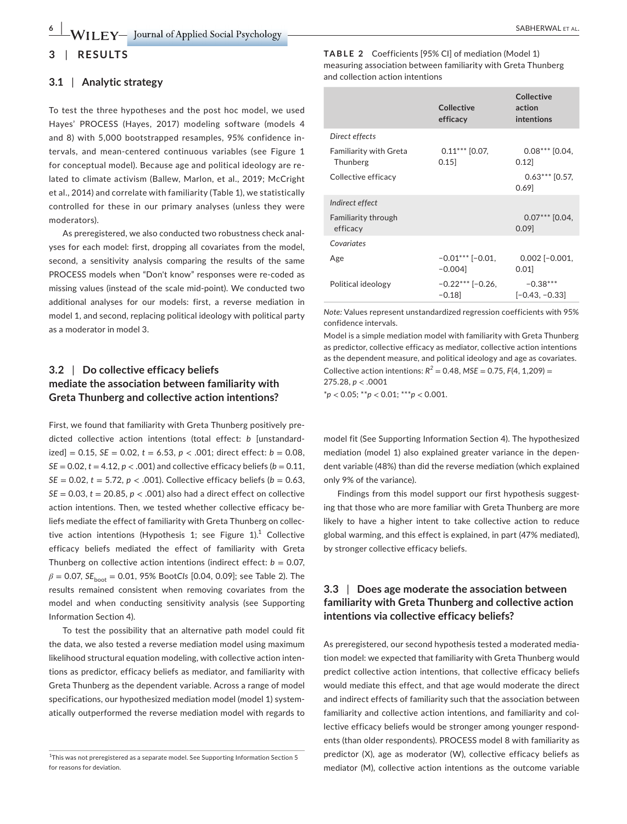#### **3** | **RESULTS**

#### **3.1** | **Analytic strategy**

To test the three hypotheses and the post hoc model, we used Hayes' PROCESS (Hayes, 2017) modeling software (models 4 and 8) with 5,000 bootstrapped resamples, 95% confidence intervals, and mean-centered continuous variables (see Figure 1 for conceptual model). Because age and political ideology are related to climate activism (Ballew, Marlon, et al., 2019; McCright et al., 2014) and correlate with familiarity (Table 1), we statistically controlled for these in our primary analyses (unless they were moderators).

As preregistered, we also conducted two robustness check analyses for each model: first, dropping all covariates from the model, second, a sensitivity analysis comparing the results of the same PROCESS models when "Don't know" responses were re-coded as missing values (instead of the scale mid-point). We conducted two additional analyses for our models: first, a reverse mediation in model 1, and second, replacing political ideology with political party as a moderator in model 3.

## **3.2** | **Do collective efficacy beliefs mediate the association between familiarity with Greta Thunberg and collective action intentions?**

First, we found that familiarity with Greta Thunberg positively predicted collective action intentions (total effect: *b* [unstandard- $\text{ized}$ ] = 0.15, *SE* = 0.02, *t* = 6.53, *p* < .001; direct effect: *b* = 0.08,  $SE = 0.02$ ,  $t = 4.12$ ,  $p < .001$ ) and collective efficacy beliefs ( $b = 0.11$ , *SE* = 0.02,  $t = 5.72$ ,  $p < .001$ ). Collective efficacy beliefs ( $b = 0.63$ ,  $SE = 0.03$ ,  $t = 20.85$ ,  $p < .001$ ) also had a direct effect on collective action intentions. Then, we tested whether collective efficacy beliefs mediate the effect of familiarity with Greta Thunberg on collective action intentions (Hypothesis 1; see Figure 1).<sup>1</sup> Collective efficacy beliefs mediated the effect of familiarity with Greta Thunberg on collective action intentions (indirect effect:  $b = 0.07$ , *β* = 0.07, *SE*<sub>boot</sub> = 0.01, 95% Boot*Cls* [0.04, 0.09]; see Table 2). The results remained consistent when removing covariates from the model and when conducting sensitivity analysis (see Supporting Information Section 4).

To test the possibility that an alternative path model could fit the data, we also tested a reverse mediation model using maximum likelihood structural equation modeling, with collective action intentions as predictor, efficacy beliefs as mediator, and familiarity with Greta Thunberg as the dependent variable. Across a range of model specifications, our hypothesized mediation model (model 1) systematically outperformed the reverse mediation model with regards to **TABLE 2** Coefficients [95% CI] of mediation (Model 1) measuring association between familiarity with Greta Thunberg and collection action intentions

| Collective<br>efficacy         | Collective<br>action<br>intentions |
|--------------------------------|------------------------------------|
|                                |                                    |
| $0.11***$ [0.07,<br>0.15       | $0.08***$ [0.04,<br>0.12           |
|                                | $0.63***$ [0.57,<br>0.69           |
|                                |                                    |
|                                | $0.07***$ [0.04,<br>0.09           |
|                                |                                    |
| $-0.01***$ [-0.01,<br>$-0.004$ | $0.002$ [-0.001,<br>0.01           |
| $-0.22***$ [-0.26,<br>$-0.18$  | $-0.38***$<br>$[-0.43, -0.33]$     |
|                                |                                    |

*Note:* Values represent unstandardized regression coefficients with 95% confidence intervals.

Model is a simple mediation model with familiarity with Greta Thunberg as predictor, collective efficacy as mediator, collective action intentions as the dependent measure, and political ideology and age as covariates. Collective action intentions:  $R^2 = 0.48$ ,  $MSE = 0.75$ ,  $F(4, 1,209) =$ 275.28, *p* < .0001

\**p* < 0.05; \*\**p* < 0.01; \*\*\**p* < 0.001.

model fit (See Supporting Information Section 4). The hypothesized mediation (model 1) also explained greater variance in the dependent variable (48%) than did the reverse mediation (which explained only 9% of the variance).

Findings from this model support our first hypothesis suggesting that those who are more familiar with Greta Thunberg are more likely to have a higher intent to take collective action to reduce global warming, and this effect is explained, in part (47% mediated), by stronger collective efficacy beliefs.

### **3.3** | **Does age moderate the association between familiarity with Greta Thunberg and collective action intentions via collective efficacy beliefs?**

As preregistered, our second hypothesis tested a moderated mediation model: we expected that familiarity with Greta Thunberg would predict collective action intentions, that collective efficacy beliefs would mediate this effect, and that age would moderate the direct and indirect effects of familiarity such that the association between familiarity and collective action intentions, and familiarity and collective efficacy beliefs would be stronger among younger respondents (than older respondents). PROCESS model 8 with familiarity as predictor (X), age as moderator (W), collective efficacy beliefs as mediator (M), collective action intentions as the outcome variable

<sup>&</sup>lt;sup>1</sup>This was not preregistered as a separate model. See Supporting Information Section 5 for reasons for deviation.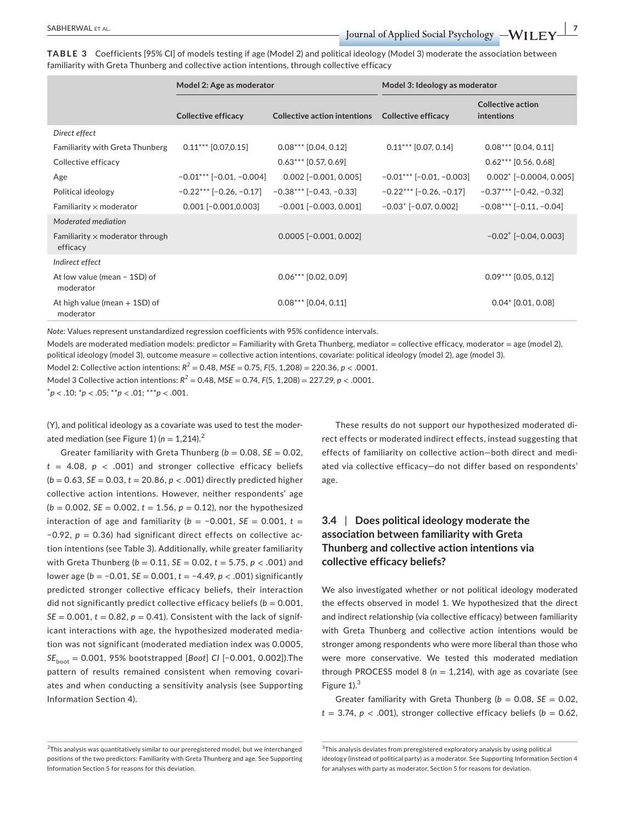**TABLE 3** Coefficients [95% CI] of models testing if age (Model 2) and political ideology (Model 3) moderate the association between familiarity with Greta Thunberg and collective action intentions, through collective efficacy

|                                                    | Model 2: Age as moderator  |                                     | Model 3: Ideology as moderator        |                                         |  |
|----------------------------------------------------|----------------------------|-------------------------------------|---------------------------------------|-----------------------------------------|--|
|                                                    | <b>Collective efficacy</b> | <b>Collective action intentions</b> | <b>Collective efficacy</b>            | <b>Collective action</b><br>intentions  |  |
| Direct effect                                      |                            |                                     |                                       |                                         |  |
| <b>Familiarity with Greta Thunberg</b>             | $0.11***$ [0.07,0.15]      | $0.08***$ [0.04, 0.12]              | $0.11***$ [0.07, 0.14]                | $0.08***$ [0.04, 0.11]                  |  |
| Collective efficacy                                |                            | $0.63***$ [0.57, 0.69]              |                                       | $0.62***$ [0.56, 0.68]                  |  |
| Age                                                | $-0.01***$ [-0.01, -0.004] | $0.002$ $[-0.001, 0.005]$           | $-0.01***$ [-0.01, -0.003]            | $0.002^+$ [-0.0004, 0.005]              |  |
| Political ideology                                 | $-0.22***$ [-0.26, -0.17]  | $-0.38***$ [-0.43, -0.33]           | $-0.22***$ [-0.26, -0.17]             | $-0.37***$ [-0.42, -0.32]               |  |
| Familiarity $\times$ moderator                     | $0.001$ $[-0.001, 0.003]$  | $-0.001$ $[-0.003, 0.001]$          | $-0.03$ <sup>+</sup> $[-0.07, 0.002]$ | $-0.08***$ [-0.11, -0.04]               |  |
| Moderated mediation                                |                            |                                     |                                       |                                         |  |
| Familiarity $\times$ moderator through<br>efficacy |                            | $0.0005$ [-0.001, 0.002]            |                                       | $-0.02$ <sup>+</sup> [ $-0.04, 0.003$ ] |  |
| Indirect effect                                    |                            |                                     |                                       |                                         |  |
| At low value (mean - 1SD) of<br>moderator          |                            | $0.06***$ [0.02, 0.09]              |                                       | $0.09***$ [0.05, 0.12]                  |  |
| At high value (mean $+$ 1SD) of<br>moderator       |                            | $0.08***$ [0.04, 0.11]              |                                       | $0.04*$ [0.01, 0.08]                    |  |

*Note:* Values represent unstandardized regression coefficients with 95% confidence intervals.

Models are moderated mediation models: predictor = Familiarity with Greta Thunberg, mediator = collective efficacy, moderator = age (model 2), political ideology (model 3), outcome measure = collective action intentions, covariate: political ideology (model 2), age (model 3).

Model 2: Collective action intentions: *R<sup>2</sup>* = 0.48, *MSE* = 0.75, *F*(5, 1,208) = 220.36, *p* < .0001.

Model 3 Collective action intentions: *R<sup>2</sup>* = 0.48, *MSE* = 0.74, *F*(5, 1,208) = 227.29, *p* < .0001.

+ *p <* .10; \**p* < .05; \*\**p* < .01; \*\*\**p* < .001.

(Y), and political ideology as a covariate was used to test the moderated mediation (see Figure 1) ( $n = 1,214$ ).<sup>2</sup>

Greater familiarity with Greta Thunberg  $(b = 0.08, SE = 0.02,$  $t = 4.08$ ,  $p < .001$ ) and stronger collective efficacy beliefs (*b* = 0.63, *SE* = 0.03, *t* = 20.86, *p* < .001) directly predicted higher collective action intentions. However, neither respondents' age (*b* = 0.002, *SE* = 0.002, *t* = 1.56, *p* = 0.12), nor the hypothesized interaction of age and familiarity ( $b = -0.001$ ,  $SE = 0.001$ ,  $t =$ −0.92, *p* = 0.36) had significant direct effects on collective action intentions (see Table 3). Additionally, while greater familiarity with Greta Thunberg ( $b = 0.11$ ,  $SE = 0.02$ ,  $t = 5.75$ ,  $p < .001$ ) and lower age (*b* = −0.01, *SE* = 0.001, *t* = −4.49, *p* < .001) significantly predicted stronger collective efficacy beliefs, their interaction did not significantly predict collective efficacy beliefs ( $b = 0.001$ ,  $SE = 0.001$ ,  $t = 0.82$ ,  $p = 0.41$ ). Consistent with the lack of significant interactions with age, the hypothesized moderated mediation was not significant (moderated mediation index was 0.0005, *SE*<sub>boot</sub> = 0.001, 95% bootstrapped [*Boot*] *CI* [−0.001, 0.002]). The pattern of results remained consistent when removing covariates and when conducting a sensitivity analysis (see Supporting Information Section 4).

These results do not support our hypothesized moderated direct effects or moderated indirect effects, instead suggesting that effects of familiarity on collective action—both direct and mediated via collective efficacy—do not differ based on respondents' age.

## **3.4** | **Does political ideology moderate the association between familiarity with Greta Thunberg and collective action intentions via collective efficacy beliefs?**

We also investigated whether or not political ideology moderated the effects observed in model 1. We hypothesized that the direct and indirect relationship (via collective efficacy) between familiarity with Greta Thunberg and collective action intentions would be stronger among respondents who were more liberal than those who were more conservative. We tested this moderated mediation through PROCESS model 8 ( $n = 1,214$ ), with age as covariate (see Figure  $1$ ). $3$ 

Greater familiarity with Greta Thunberg  $(b = 0.08, SE = 0.02,$  $t = 3.74$ ,  $p < .001$ ), stronger collective efficacy beliefs ( $b = 0.62$ ,

 $^{2}$ This analysis was quantitatively similar to our preregistered model, but we interchanged positions of the two predictors: Familiarity with Greta Thunberg and age. See Supporting Information Section 5 for reasons for this deviation.

<sup>&</sup>lt;sup>3</sup>This analysis deviates from preregistered exploratory analysis by using political ideology (instead of political party) as a moderator. See Supporting Information Section 4 for analyses with party as moderator, Section 5 for reasons for deviation.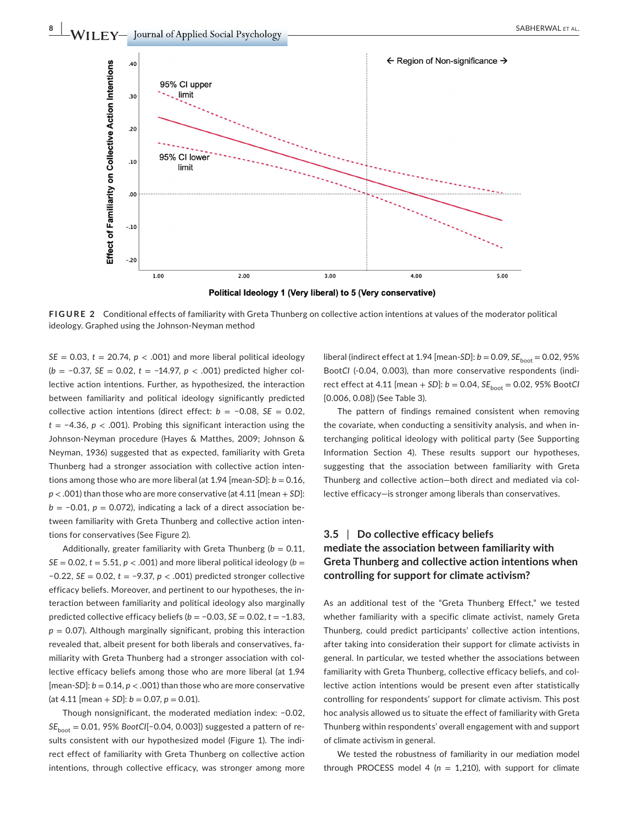

**FIGURE 2** Conditional effects of familiarity with Greta Thunberg on collective action intentions at values of the moderator political ideology. Graphed using the Johnson-Neyman method

 $SE = 0.03$ ,  $t = 20.74$ ,  $p < .001$ ) and more liberal political ideology (*b* = −0.37, *SE* = 0.02, *t* = −14.97, *p* < .001) predicted higher collective action intentions. Further, as hypothesized, the interaction between familiarity and political ideology significantly predicted collective action intentions (direct effect: *b* = −0.08, *SE* = 0.02, *t* = −4.36, *p* < .001). Probing this significant interaction using the Johnson-Neyman procedure (Hayes & Matthes, 2009; Johnson & Neyman, 1936) suggested that as expected, familiarity with Greta Thunberg had a stronger association with collective action intentions among those who are more liberal (at  $1.94$  [mean-*SD*]:  $b = 0.16$ , *p* < .001) than those who are more conservative (at 4.11 [mean + *SD*]: *b* = −0.01, *p* = 0.072), indicating a lack of a direct association between familiarity with Greta Thunberg and collective action intentions for conservatives (See Figure 2).

Additionally, greater familiarity with Greta Thunberg ( $b = 0.11$ ,  $SE = 0.02$ ,  $t = 5.51$ ,  $p < .001$ ) and more liberal political ideology ( $b =$ −0.22, *SE* = 0.02, *t* = −9.37, *p* < .001) predicted stronger collective efficacy beliefs. Moreover, and pertinent to our hypotheses, the interaction between familiarity and political ideology also marginally predicted collective efficacy beliefs (*b* = −0.03, *SE* = 0.02, *t* = −1.83,  $p = 0.07$ ). Although marginally significant, probing this interaction revealed that, albeit present for both liberals and conservatives, familiarity with Greta Thunberg had a stronger association with collective efficacy beliefs among those who are more liberal (at 1.94 [mean-*SD*]:  $b = 0.14$ ,  $p < .001$ ) than those who are more conservative  $(at 4.11$  [mean + *SD*]:  $b = 0.07$ ,  $p = 0.01$ ).

Though nonsignificant, the moderated mediation index: −0.02, *SE*<sub>boot</sub> = 0.01, 95% *BootCI*[−0.04, 0.003]) suggested a pattern of results consistent with our hypothesized model (Figure 1). The indirect effect of familiarity with Greta Thunberg on collective action intentions, through collective efficacy, was stronger among more liberal (indirect effect at 1.94 [mean-*SD*]:  $b = 0.09$ ,  $SE_{boot} = 0.02$ , 95% Boot*CI* (-0.04, 0.003), than more conservative respondents (indirect effect at 4.11 [mean  $+$  *SD*]:  $b = 0.04$ ,  $SE_{\text{boot}} = 0.02$ , 95% Boot*Cl* [0.006, 0.08]) (See Table 3).

The pattern of findings remained consistent when removing the covariate, when conducting a sensitivity analysis, and when interchanging political ideology with political party (See Supporting Information Section 4). These results support our hypotheses, suggesting that the association between familiarity with Greta Thunberg and collective action—both direct and mediated via collective efficacy—is stronger among liberals than conservatives.

## **3.5** | **Do collective efficacy beliefs mediate the association between familiarity with Greta Thunberg and collective action intentions when controlling for support for climate activism?**

As an additional test of the "Greta Thunberg Effect," we tested whether familiarity with a specific climate activist, namely Greta Thunberg, could predict participants' collective action intentions, after taking into consideration their support for climate activists in general. In particular, we tested whether the associations between familiarity with Greta Thunberg, collective efficacy beliefs, and collective action intentions would be present even after statistically controlling for respondents' support for climate activism. This post hoc analysis allowed us to situate the effect of familiarity with Greta Thunberg within respondents' overall engagement with and support of climate activism in general.

We tested the robustness of familiarity in our mediation model through PROCESS model 4 ( $n = 1,210$ ), with support for climate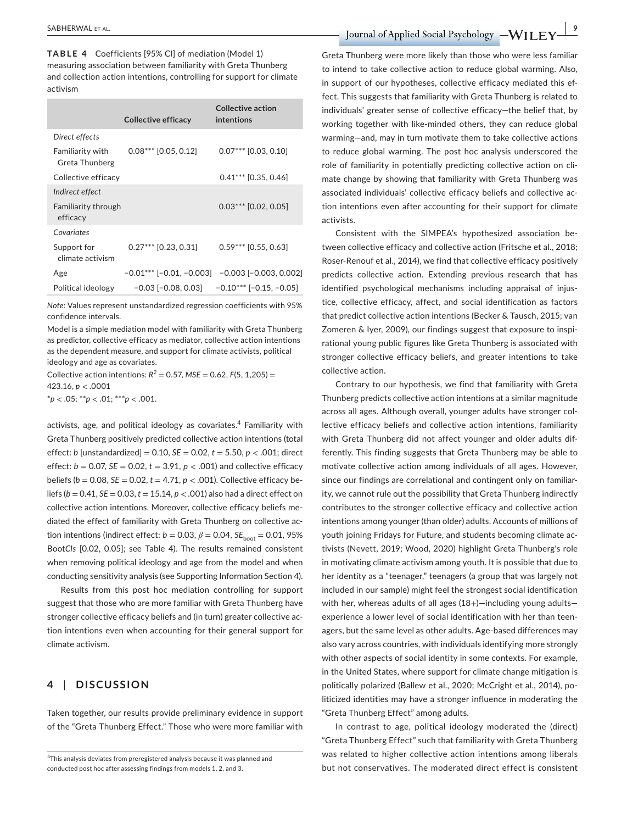**TABLE 4** Coefficients [95% CI] of mediation (Model 1) measuring association between familiarity with Greta Thunberg and collection action intentions, controlling for support for climate activism

|                                        | Collective efficacy        | Collective action<br>intentions |
|----------------------------------------|----------------------------|---------------------------------|
| Direct effects                         |                            |                                 |
| Familiarity with<br>Greta Thunberg     | $0.08***$ [0.05, 0.12]     | $0.07***$ [0.03, 0.10]          |
| Collective efficacy                    |                            | $0.41***$ [0.35, 0.46]          |
| Indirect effect                        |                            |                                 |
| <b>Familiarity through</b><br>efficacy |                            | $0.03***$ [0.02, 0.05]          |
| Covariates                             |                            |                                 |
| Support for<br>climate activism        | $0.27***$ [0.23, 0.31]     | $0.59***$ [0.55, 0.63]          |
| Age                                    | $-0.01***$ [-0.01, -0.003] | $-0.003$ $[-0.003, 0.002]$      |
| Political ideology                     | $-0.03$ [ $-0.08$ , 0.03]  | $-0.10***$ [-0.15. -0.05]       |

*Note:* Values represent unstandardized regression coefficients with 95% confidence intervals.

Model is a simple mediation model with familiarity with Greta Thunberg as predictor, collective efficacy as mediator, collective action intentions as the dependent measure, and support for climate activists, political ideology and age as covariates.

Collective action intentions:  $R^2 = 0.57$ ,  $MSE = 0.62$ ,  $F(5, 1,205) =$ 423.16, *p* < .0001

\**p* < .05; \*\**p* < .01; \*\*\**p* < .001.

activists, age, and political ideology as covariates. $\rm ^4$  Familiarity with Greta Thunberg positively predicted collective action intentions (total effect: *b* [unstandardized] = 0.10, *SE* = 0.02, *t* = 5.50, *p* < .001; direct effect:  $b = 0.07$ ,  $SE = 0.02$ ,  $t = 3.91$ ,  $p < .001$ ) and collective efficacy beliefs ( $b = 0.08$ ,  $SE = 0.02$ ,  $t = 4.71$ ,  $p < .001$ ). Collective efficacy beliefs ( $b = 0.41$ ,  $SE = 0.03$ ,  $t = 15.14$ ,  $p < .001$ ) also had a direct effect on collective action intentions. Moreover, collective efficacy beliefs mediated the effect of familiarity with Greta Thunberg on collective action intentions (indirect effect:  $b = 0.03$ ,  $\beta = 0.04$ ,  $SE_{boot} = 0.01$ , 95% Boot*CIs* [0.02, 0.05]; see Table 4). The results remained consistent when removing political ideology and age from the model and when conducting sensitivity analysis (see Supporting Information Section 4).

Results from this post hoc mediation controlling for support suggest that those who are more familiar with Greta Thunberg have stronger collective efficacy beliefs and (in turn) greater collective action intentions even when accounting for their general support for climate activism.

### **4** | **DISCUSSION**

Taken together, our results provide preliminary evidence in support of the "Greta Thunberg Effect." Those who were more familiar with

 **SABHERWAL ET AL. 1999**  $\blacksquare$  **DEVIORS** *LWILEY* **DUITER ALL EXECUTE:** 

Greta Thunberg were more likely than those who were less familiar to intend to take collective action to reduce global warming. Also, in support of our hypotheses, collective efficacy mediated this effect. This suggests that familiarity with Greta Thunberg is related to individuals' greater sense of collective efficacy—the belief that, by working together with like-minded others, they can reduce global warming—and, may in turn motivate them to take collective actions to reduce global warming. The post hoc analysis underscored the role of familiarity in potentially predicting collective action on climate change by showing that familiarity with Greta Thunberg was associated individuals' collective efficacy beliefs and collective action intentions even after accounting for their support for climate activists.

Consistent with the SIMPEA's hypothesized association between collective efficacy and collective action (Fritsche et al., 2018; Roser-Renouf et al., 2014), we find that collective efficacy positively predicts collective action. Extending previous research that has identified psychological mechanisms including appraisal of injustice, collective efficacy, affect, and social identification as factors that predict collective action intentions (Becker & Tausch, 2015; van Zomeren & Iyer, 2009), our findings suggest that exposure to inspirational young public figures like Greta Thunberg is associated with stronger collective efficacy beliefs, and greater intentions to take collective action.

Contrary to our hypothesis, we find that familiarity with Greta Thunberg predicts collective action intentions at a similar magnitude across all ages. Although overall, younger adults have stronger collective efficacy beliefs and collective action intentions, familiarity with Greta Thunberg did not affect younger and older adults differently. This finding suggests that Greta Thunberg may be able to motivate collective action among individuals of all ages. However, since our findings are correlational and contingent only on familiarity, we cannot rule out the possibility that Greta Thunberg indirectly contributes to the stronger collective efficacy and collective action intentions among younger (than older) adults. Accounts of millions of youth joining Fridays for Future, and students becoming climate activists (Nevett, 2019; Wood, 2020) highlight Greta Thunberg's role in motivating climate activism among youth. It is possible that due to her identity as a "teenager," teenagers (a group that was largely not included in our sample) might feel the strongest social identification with her, whereas adults of all ages (18+)-including young adultsexperience a lower level of social identification with her than teenagers, but the same level as other adults. Age-based differences may also vary across countries, with individuals identifying more strongly with other aspects of social identity in some contexts. For example, in the United States, where support for climate change mitigation is politically polarized (Ballew et al., 2020; McCright et al., 2014), politicized identities may have a stronger influence in moderating the "Greta Thunberg Effect" among adults.

In contrast to age, political ideology moderated the (direct) "Greta Thunberg Effect" such that familiarity with Greta Thunberg was related to higher collective action intentions among liberals but not conservatives. The moderated direct effect is consistent

<sup>&</sup>lt;sup>4</sup>This analysis deviates from preregistered analysis because it was planned and conducted post hoc after assessing findings from models 1, 2, and 3.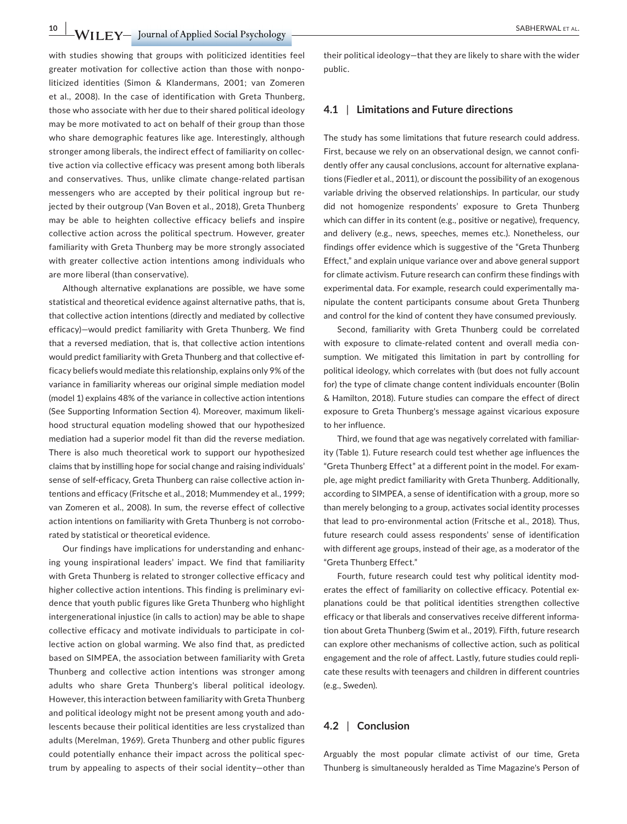**10 IDEX 10 IDEX 10 IDEX 10 IDEX 10 IDEX 10 IDEX 10 IDEX 10 IDEX 10 IDEX 10 IDEX 10 IDEX 10 IDEX 10 IDEX 10 IDEX 10 IDEX 10 IDEX 10 IDEX 10 IDEX 10 IDEX 10 IDEX 10 IDEX 10 IDEX 1** 

with studies showing that groups with politicized identities feel greater motivation for collective action than those with nonpoliticized identities (Simon & Klandermans, 2001; van Zomeren et al., 2008). In the case of identification with Greta Thunberg, those who associate with her due to their shared political ideology may be more motivated to act on behalf of their group than those who share demographic features like age. Interestingly, although stronger among liberals, the indirect effect of familiarity on collective action via collective efficacy was present among both liberals and conservatives. Thus, unlike climate change-related partisan messengers who are accepted by their political ingroup but rejected by their outgroup (Van Boven et al., 2018), Greta Thunberg may be able to heighten collective efficacy beliefs and inspire collective action across the political spectrum. However, greater familiarity with Greta Thunberg may be more strongly associated with greater collective action intentions among individuals who are more liberal (than conservative).

Although alternative explanations are possible, we have some statistical and theoretical evidence against alternative paths, that is, that collective action intentions (directly and mediated by collective efficacy)—would predict familiarity with Greta Thunberg. We find that a reversed mediation, that is, that collective action intentions would predict familiarity with Greta Thunberg and that collective efficacy beliefs would mediate this relationship, explains only 9% of the variance in familiarity whereas our original simple mediation model (model 1) explains 48% of the variance in collective action intentions (See Supporting Information Section 4). Moreover, maximum likelihood structural equation modeling showed that our hypothesized mediation had a superior model fit than did the reverse mediation. There is also much theoretical work to support our hypothesized claims that by instilling hope for social change and raising individuals' sense of self-efficacy, Greta Thunberg can raise collective action intentions and efficacy (Fritsche et al., 2018; Mummendey et al., 1999; van Zomeren et al., 2008). In sum, the reverse effect of collective action intentions on familiarity with Greta Thunberg is not corroborated by statistical or theoretical evidence.

Our findings have implications for understanding and enhancing young inspirational leaders' impact. We find that familiarity with Greta Thunberg is related to stronger collective efficacy and higher collective action intentions. This finding is preliminary evidence that youth public figures like Greta Thunberg who highlight intergenerational injustice (in calls to action) may be able to shape collective efficacy and motivate individuals to participate in collective action on global warming. We also find that, as predicted based on SIMPEA, the association between familiarity with Greta Thunberg and collective action intentions was stronger among adults who share Greta Thunberg's liberal political ideology. However, this interaction between familiarity with Greta Thunberg and political ideology might not be present among youth and adolescents because their political identities are less crystalized than adults (Merelman, 1969). Greta Thunberg and other public figures could potentially enhance their impact across the political spectrum by appealing to aspects of their social identity—other than

their political ideology—that they are likely to share with the wider public.

#### **4.1** | **Limitations and Future directions**

The study has some limitations that future research could address. First, because we rely on an observational design, we cannot confidently offer any causal conclusions, account for alternative explanations (Fiedler et al., 2011), or discount the possibility of an exogenous variable driving the observed relationships. In particular, our study did not homogenize respondents' exposure to Greta Thunberg which can differ in its content (e.g., positive or negative), frequency, and delivery (e.g., news, speeches, memes etc.). Nonetheless, our findings offer evidence which is suggestive of the "Greta Thunberg Effect," and explain unique variance over and above general support for climate activism. Future research can confirm these findings with experimental data. For example, research could experimentally manipulate the content participants consume about Greta Thunberg and control for the kind of content they have consumed previously.

Second, familiarity with Greta Thunberg could be correlated with exposure to climate-related content and overall media consumption. We mitigated this limitation in part by controlling for political ideology, which correlates with (but does not fully account for) the type of climate change content individuals encounter (Bolin & Hamilton, 2018). Future studies can compare the effect of direct exposure to Greta Thunberg's message against vicarious exposure to her influence.

Third, we found that age was negatively correlated with familiarity (Table 1). Future research could test whether age influences the "Greta Thunberg Effect" at a different point in the model. For example, age might predict familiarity with Greta Thunberg. Additionally, according to SIMPEA, a sense of identification with a group, more so than merely belonging to a group, activates social identity processes that lead to pro-environmental action (Fritsche et al., 2018). Thus, future research could assess respondents' sense of identification with different age groups, instead of their age, as a moderator of the "Greta Thunberg Effect."

Fourth, future research could test why political identity moderates the effect of familiarity on collective efficacy. Potential explanations could be that political identities strengthen collective efficacy or that liberals and conservatives receive different information about Greta Thunberg (Swim et al., 2019). Fifth, future research can explore other mechanisms of collective action, such as political engagement and the role of affect. Lastly, future studies could replicate these results with teenagers and children in different countries (e.g., Sweden).

#### **4.2** | **Conclusion**

Arguably the most popular climate activist of our time, Greta Thunberg is simultaneously heralded as Time Magazine's Person of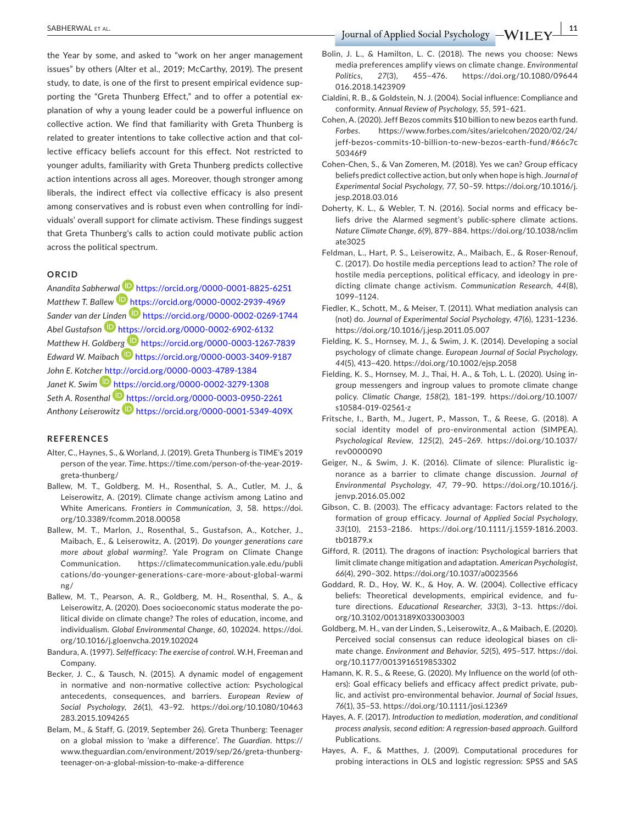the Year by some, and asked to "work on her anger management issues" by others (Alter et al., 2019; McCarthy, 2019). The present study, to date, is one of the first to present empirical evidence supporting the "Greta Thunberg Effect," and to offer a potential explanation of why a young leader could be a powerful influence on collective action. We find that familiarity with Greta Thunberg is related to greater intentions to take collective action and that collective efficacy beliefs account for this effect. Not restricted to younger adults, familiarity with Greta Thunberg predicts collective action intentions across all ages. Moreover, though stronger among liberals, the indirect effect via collective efficacy is also present among conservatives and is robust even when controlling for individuals' overall support for climate activism. These findings suggest that Greta Thunberg's calls to action could motivate public action across the political spectrum.

#### **ORCID**

*Anandita Sabherw[al](https://orcid.org/0000-0002-2939-4969)* <https://orcid.org/0000-0001-8825-6251> *Matthew T. Ballew* <https://orcid.org/0000-0002-2939-4969> *Sander van der [Lind](https://orcid.org/0000-0002-6902-6132)en* <https://orcid.org/0000-0002-0269-1744> *Abel Gustafson* <https://orcid.org/0000-0002-6902-6132> *Matthew H. Goldbe[rg](https://orcid.org/0000-0003-3409-9187)* <https://orcid.org/0000-0003-1267-7839> *Edward W. Maibach* <https://orcid.org/0000-0003-3409-9187> *John E. Kotcher* <http://orcid.org/0000-0003-4789-1384> Janet K. Swim **b** <https://orcid.org/0000-0002-3279-1308> *Seth A. Rosenthal* <https://orcid.org/0000-0003-0950-2261> *Anthony Leiserowitz* <https://orcid.org/0000-0001-5349-409X>

#### **REFERENCES**

- Alter, C., Haynes, S., & Worland, J. (2019). Greta Thunberg is TIME's 2019 person of the year. *Time*. [https://time.com/person-of-the-year-2019](https://time.com/person-of-the-year-2019-greta-thunberg/) [greta-thunberg/](https://time.com/person-of-the-year-2019-greta-thunberg/)
- Ballew, M. T., Goldberg, M. H., Rosenthal, S. A., Cutler, M. J., & Leiserowitz, A. (2019). Climate change activism among Latino and White Americans. *Frontiers in Communication*, *3*, 58. [https://doi.](https://doi.org/10.3389/fcomm.2018.00058) [org/10.3389/fcomm.2018.00058](https://doi.org/10.3389/fcomm.2018.00058)
- Ballew, M. T., Marlon, J., Rosenthal, S., Gustafson, A., Kotcher, J., Maibach, E., & Leiserowitz, A. (2019). *Do younger generations care more about global warming?*. Yale Program on Climate Change Communication. [https://climatecommunication.yale.edu/publi](https://climatecommunication.yale.edu/publications/do-younger-generations-care-more-about-global-warming/) [cations/do-younger-generations-care-more-about-global-warmi](https://climatecommunication.yale.edu/publications/do-younger-generations-care-more-about-global-warming/) [ng/](https://climatecommunication.yale.edu/publications/do-younger-generations-care-more-about-global-warming/)
- Ballew, M. T., Pearson, A. R., Goldberg, M. H., Rosenthal, S. A., & Leiserowitz, A. (2020). Does socioeconomic status moderate the political divide on climate change? The roles of education, income, and individualism. *Global Environmental Change*, *60*, 102024. [https://doi.](https://doi.org/10.1016/j.gloenvcha.2019.102024) [org/10.1016/j.gloenvcha.2019.102024](https://doi.org/10.1016/j.gloenvcha.2019.102024)
- Bandura, A. (1997). *Selfefficacy: The exercise of control*. W.H, Freeman and Company.
- Becker, J. C., & Tausch, N. (2015). A dynamic model of engagement in normative and non-normative collective action: Psychological antecedents, consequences, and barriers. *European Review of Social Psychology*, *26*(1), 43–92. [https://doi.org/10.1080/10463](https://doi.org/10.1080/10463283.2015.1094265) [283.2015.1094265](https://doi.org/10.1080/10463283.2015.1094265)
- Belam, M., & Staff, G. (2019, September 26). Greta Thunberg: Teenager on a global mission to 'make a difference'. *The Guardian*. [https://](https://www.theguardian.com/environment/2019/sep/26/greta-thunberg-teenager-on-a-global-mission-to-make-a-difference) [www.theguardian.com/environment/2019/sep/26/greta-thunberg](https://www.theguardian.com/environment/2019/sep/26/greta-thunberg-teenager-on-a-global-mission-to-make-a-difference)[teenager-on-a-global-mission-to-make-a-difference](https://www.theguardian.com/environment/2019/sep/26/greta-thunberg-teenager-on-a-global-mission-to-make-a-difference)

 **SABHERWAL ET AL. 11** SABHERWAL ET AL. **11** SABHERWAL ET AL.

- Bolin, J. L., & Hamilton, L. C. (2018). The news you choose: News media preferences amplify views on climate change. *Environmental Politics*, *27*(3), 455–476. [https://doi.org/10.1080/09644](https://doi.org/10.1080/09644016.2018.1423909) [016.2018.1423909](https://doi.org/10.1080/09644016.2018.1423909)
- Cialdini, R. B., & Goldstein, N. J. (2004). Social influence: Compliance and conformity. *Annual Review of Psychology*, *55*, 591–621.
- Cohen, A. (2020). Jeff Bezos commits \$10 billion to new bezos earth fund. *Forbes*. [https://www.forbes.com/sites/arielcohen/2020/02/24/](https://www.forbes.com/sites/arielcohen/2020/02/24/jeff-bezos-commits-10-billion-to-new-bezos-earth-fund/#66c7c50346f9) [jeff-bezos-commits-10-billion-to-new-bezos-earth-fund/#66c7c](https://www.forbes.com/sites/arielcohen/2020/02/24/jeff-bezos-commits-10-billion-to-new-bezos-earth-fund/#66c7c50346f9) [50346f9](https://www.forbes.com/sites/arielcohen/2020/02/24/jeff-bezos-commits-10-billion-to-new-bezos-earth-fund/#66c7c50346f9)
- Cohen-Chen, S., & Van Zomeren, M. (2018). Yes we can? Group efficacy beliefs predict collective action, but only when hope is high. *Journal of Experimental Social Psychology*, *77*, 50–59. [https://doi.org/10.1016/j.](https://doi.org/10.1016/j.jesp.2018.03.016) [jesp.2018.03.016](https://doi.org/10.1016/j.jesp.2018.03.016)
- Doherty, K. L., & Webler, T. N. (2016). Social norms and efficacy beliefs drive the Alarmed segment's public-sphere climate actions. *Nature Climate Change*, *6*(9), 879–884. [https://doi.org/10.1038/nclim](https://doi.org/10.1038/nclimate3025) [ate3025](https://doi.org/10.1038/nclimate3025)
- Feldman, L., Hart, P. S., Leiserowitz, A., Maibach, E., & Roser-Renouf, C. (2017). Do hostile media perceptions lead to action? The role of hostile media perceptions, political efficacy, and ideology in predicting climate change activism. *Communication Research*, *44*(8), 1099–1124.
- Fiedler, K., Schott, M., & Meiser, T. (2011). What mediation analysis can (not) do. *Journal of Experimental Social Psychology*, *47*(6), 1231–1236. <https://doi.org/10.1016/j.jesp.2011.05.007>
- Fielding, K. S., Hornsey, M. J., & Swim, J. K. (2014). Developing a social psychology of climate change. *European Journal of Social Psychology*, *44*(5), 413–420. <https://doi.org/10.1002/ejsp.2058>
- Fielding, K. S., Hornsey, M. J., Thai, H. A., & Toh, L. L. (2020). Using ingroup messengers and ingroup values to promote climate change policy. *Climatic Change*, *158*(2), 181–199. [https://doi.org/10.1007/](https://doi.org/10.1007/s10584-019-02561-z) [s10584-019-02561-z](https://doi.org/10.1007/s10584-019-02561-z)
- Fritsche, I., Barth, M., Jugert, P., Masson, T., & Reese, G. (2018). A social identity model of pro-environmental action (SIMPEA). *Psychological Review*, *125*(2), 245–269. [https://doi.org/10.1037/](https://doi.org/10.1037/rev0000090) [rev0000090](https://doi.org/10.1037/rev0000090)
- Geiger, N., & Swim, J. K. (2016). Climate of silence: Pluralistic ignorance as a barrier to climate change discussion. *Journal of Environmental Psychology*, *47*, 79–90. [https://doi.org/10.1016/j.](https://doi.org/10.1016/j.jenvp.2016.05.002) [jenvp.2016.05.002](https://doi.org/10.1016/j.jenvp.2016.05.002)
- Gibson, C. B. (2003). The efficacy advantage: Factors related to the formation of group efficacy. *Journal of Applied Social Psychology*, *33*(10), 2153–2186. [https://doi.org/10.1111/j.1559-1816.2003.](https://doi.org/10.1111/j.1559-1816.2003.tb01879.x) [tb01879.x](https://doi.org/10.1111/j.1559-1816.2003.tb01879.x)
- Gifford, R. (2011). The dragons of inaction: Psychological barriers that limit climate change mitigation and adaptation. *American Psychologist*, *66*(4), 290–302.<https://doi.org/10.1037/a0023566>
- Goddard, R. D., Hoy, W. K., & Hoy, A. W. (2004). Collective efficacy beliefs: Theoretical developments, empirical evidence, and future directions. *Educational Researcher*, *33*(3), 3–13. [https://doi.](https://doi.org/10.3102/0013189X033003003) [org/10.3102/0013189X033003003](https://doi.org/10.3102/0013189X033003003)
- Goldberg, M. H., van der Linden, S., Leiserowitz, A., & Maibach, E. (2020). Perceived social consensus can reduce ideological biases on climate change. *Environment and Behavior*, *52*(5), 495–517. [https://doi.](https://doi.org/10.1177/0013916519853302) [org/10.1177/0013916519853302](https://doi.org/10.1177/0013916519853302)
- Hamann, K. R. S., & Reese, G. (2020). My Influence on the world (of others): Goal efficacy beliefs and efficacy affect predict private, public, and activist pro-environmental behavior. *Journal of Social Issues*, *76*(1), 35–53.<https://doi.org/10.1111/josi.12369>
- Hayes, A. F. (2017). *Introduction to mediation, moderation, and conditional process analysis, second edition: A regression-based approach*. Guilford Publications.
- Hayes, A. F., & Matthes, J. (2009). Computational procedures for probing interactions in OLS and logistic regression: SPSS and SAS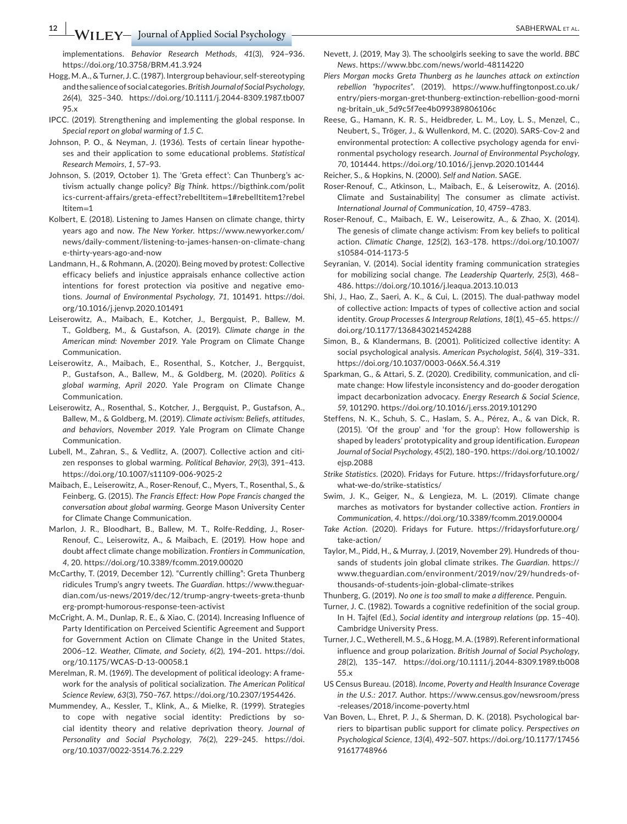implementations. *Behavior Research Methods*, *41*(3), 924–936. <https://doi.org/10.3758/BRM.41.3.924>

- Hogg, M. A., & Turner, J. C. (1987). Intergroup behaviour, self-stereotyping and the salience of social categories. *British Journal of Social Psychology*, *26*(4), 325–340. [https://doi.org/10.1111/j.2044-8309.1987.tb007](https://doi.org/10.1111/j.2044-8309.1987.tb00795.x) [95.x](https://doi.org/10.1111/j.2044-8309.1987.tb00795.x)
- IPCC. (2019). Strengthening and implementing the global response. In *Special report on global warming of 1.5 C*.
- Johnson, P. O., & Neyman, J. (1936). Tests of certain linear hypotheses and their application to some educational problems. *Statistical Research Memoirs*, *1*, 57–93.
- Johnson, S. (2019, October 1). The 'Greta effect': Can Thunberg's activism actually change policy? *Big Think*. [https://bigthink.com/polit](https://bigthink.com/politics-current-affairs/greta-effect?rebelltitem=1#rebelltitem1?rebelltitem=1) [ics-current-affairs/greta-effect?rebelltitem](https://bigthink.com/politics-current-affairs/greta-effect?rebelltitem=1#rebelltitem1?rebelltitem=1)=1#rebelltitem1?rebel [ltitem](https://bigthink.com/politics-current-affairs/greta-effect?rebelltitem=1#rebelltitem1?rebelltitem=1)=1
- Kolbert, E. (2018). Listening to James Hansen on climate change, thirty years ago and now. *The New Yorker*. [https://www.newyorker.com/](https://www.newyorker.com/news/daily-comment/listening-to-james-hansen-on-climate-change-thirty-years-ago-and-now) [news/daily-comment/listening-to-james-hansen-on-climate-chang](https://www.newyorker.com/news/daily-comment/listening-to-james-hansen-on-climate-change-thirty-years-ago-and-now) [e-thirty-years-ago-and-now](https://www.newyorker.com/news/daily-comment/listening-to-james-hansen-on-climate-change-thirty-years-ago-and-now)
- Landmann, H., & Rohmann, A. (2020). Being moved by protest: Collective efficacy beliefs and injustice appraisals enhance collective action intentions for forest protection via positive and negative emotions. *Journal of Environmental Psychology*, *71*, 101491. [https://doi.](https://doi.org/10.1016/j.jenvp.2020.101491) [org/10.1016/j.jenvp.2020.101491](https://doi.org/10.1016/j.jenvp.2020.101491)
- Leiserowitz, A., Maibach, E., Kotcher, J., Bergquist, P., Ballew, M. T., Goldberg, M., & Gustafson, A. (2019). *Climate change in the American mind: November 2019*. Yale Program on Climate Change Communication.
- Leiserowitz, A., Maibach, E., Rosenthal, S., Kotcher, J., Bergquist, P., Gustafson, A., Ballew, M., & Goldberg, M. (2020). *Politics & global warming, April 2020*. Yale Program on Climate Change Communication.
- Leiserowitz, A., Rosenthal, S., Kotcher, J., Bergquist, P., Gustafson, A., Ballew, M., & Goldberg, M. (2019). *Climate activism: Beliefs, attitudes, and behaviors, November 2019*. Yale Program on Climate Change Communication.
- Lubell, M., Zahran, S., & Vedlitz, A. (2007). Collective action and citizen responses to global warming. *Political Behavior*, *29*(3), 391–413. <https://doi.org/10.1007/s11109-006-9025-2>
- Maibach, E., Leiserowitz, A., Roser-Renouf, C., Myers, T., Rosenthal, S., & Feinberg, G. (2015). *The Francis Effect: How Pope Francis changed the conversation about global warming*. George Mason University Center for Climate Change Communication.
- Marlon, J. R., Bloodhart, B., Ballew, M. T., Rolfe-Redding, J., Roser-Renouf, C., Leiserowitz, A., & Maibach, E. (2019). How hope and doubt affect climate change mobilization. *Frontiers in Communication*, *4*, 20.<https://doi.org/10.3389/fcomm.2019.00020>
- McCarthy, T. (2019, December 12). "Currently chilling": Greta Thunberg ridicules Trump's angry tweets. *The Guardian*. [https://www.theguar](https://www.theguardian.com/us-news/2019/dec/12/trump-angry-tweets-greta-thunberg-prompt-humorous-response-teen-activist)[dian.com/us-news/2019/dec/12/trump-angry-tweets-greta-thunb](https://www.theguardian.com/us-news/2019/dec/12/trump-angry-tweets-greta-thunberg-prompt-humorous-response-teen-activist) [erg-prompt-humorous-response-teen-activist](https://www.theguardian.com/us-news/2019/dec/12/trump-angry-tweets-greta-thunberg-prompt-humorous-response-teen-activist)
- McCright, A. M., Dunlap, R. E., & Xiao, C. (2014). Increasing Influence of Party Identification on Perceived Scientific Agreement and Support for Government Action on Climate Change in the United States, 2006–12. *Weather, Climate, and Society*, *6*(2), 194–201. [https://doi.](https://doi.org/10.1175/WCAS-D-13-00058.1) [org/10.1175/WCAS-D-13-00058.1](https://doi.org/10.1175/WCAS-D-13-00058.1)
- Merelman, R. M. (1969). The development of political ideology: A framework for the analysis of political socialization. *The American Political Science Review*, *63*(3), 750–767. <https://doi.org/10.2307/1954426>.
- Mummendey, A., Kessler, T., Klink, A., & Mielke, R. (1999). Strategies to cope with negative social identity: Predictions by social identity theory and relative deprivation theory. *Journal of Personality and Social Psychology*, *76*(2), 229–245. [https://doi.](https://doi.org/10.1037/0022-3514.76.2.229) [org/10.1037/0022-3514.76.2.229](https://doi.org/10.1037/0022-3514.76.2.229)
- Nevett, J. (2019, May 3). The schoolgirls seeking to save the world. *BBC News*. <https://www.bbc.com/news/world-48114220>
- *Piers Morgan mocks Greta Thunberg as he launches attack on extinction rebellion "hypocrites"*. (2019). [https://www.huffingtonpost.co.uk/](https://www.huffingtonpost.co.uk/entry/piers-morgan-gret-thunberg-extinction-rebellion-good-morning-britain_uk_5d9c5f7ee4b099389806106c) [entry/piers-morgan-gret-thunberg-extinction-rebellion-good-morni](https://www.huffingtonpost.co.uk/entry/piers-morgan-gret-thunberg-extinction-rebellion-good-morning-britain_uk_5d9c5f7ee4b099389806106c) [ng-britain\\_uk\\_5d9c5f7ee4b099389806106c](https://www.huffingtonpost.co.uk/entry/piers-morgan-gret-thunberg-extinction-rebellion-good-morning-britain_uk_5d9c5f7ee4b099389806106c)
- Reese, G., Hamann, K. R. S., Heidbreder, L. M., Loy, L. S., Menzel, C., Neubert, S., Tröger, J., & Wullenkord, M. C. (2020). SARS-Cov-2 and environmental protection: A collective psychology agenda for environmental psychology research. *Journal of Environmental Psychology*, *70*, 101444. <https://doi.org/10.1016/j.jenvp.2020.101444>

Reicher, S., & Hopkins, N. (2000). *Self and Nation*. SAGE.

- Roser-Renouf, C., Atkinson, L., Maibach, E., & Leiserowitz, A. (2016). Climate and Sustainability| The consumer as climate activist. *International Journal of Communication*, *10*, 4759–4783.
- Roser-Renouf, C., Maibach, E. W., Leiserowitz, A., & Zhao, X. (2014). The genesis of climate change activism: From key beliefs to political action. *Climatic Change*, *125*(2), 163–178. [https://doi.org/10.1007/](https://doi.org/10.1007/s10584-014-1173-5) [s10584-014-1173-5](https://doi.org/10.1007/s10584-014-1173-5)
- Seyranian, V. (2014). Social identity framing communication strategies for mobilizing social change. *The Leadership Quarterly*, *25*(3), 468– 486. <https://doi.org/10.1016/j.leaqua.2013.10.013>
- Shi, J., Hao, Z., Saeri, A. K., & Cui, L. (2015). The dual-pathway model of collective action: Impacts of types of collective action and social identity. *Group Processes & Intergroup Relations*, *18*(1), 45–65. [https://](https://doi.org/10.1177/1368430214524288) [doi.org/10.1177/1368430214524288](https://doi.org/10.1177/1368430214524288)
- Simon, B., & Klandermans, B. (2001). Politicized collective identity: A social psychological analysis. *American Psychologist*, *56*(4), 319–331. <https://doi.org/10.1037/0003-066X.56.4.319>
- Sparkman, G., & Attari, S. Z. (2020). Credibility, communication, and climate change: How lifestyle inconsistency and do-gooder derogation impact decarbonization advocacy. *Energy Research & Social Science*, *59*, 101290.<https://doi.org/10.1016/j.erss.2019.101290>
- Steffens, N. K., Schuh, S. C., Haslam, S. A., Pérez, A., & van Dick, R. (2015). 'Of the group' and 'for the group': How followership is shaped by leaders' prototypicality and group identification. *European Journal of Social Psychology*, *45*(2), 180–190. [https://doi.org/10.1002/](https://doi.org/10.1002/ejsp.2088) [ejsp.2088](https://doi.org/10.1002/ejsp.2088)
- *Strike Statistics*. (2020). Fridays for Future. [https://fridaysforfuture.org/](https://fridaysforfuture.org/what-we-do/strike-statistics/) [what-we-do/strike-statistics/](https://fridaysforfuture.org/what-we-do/strike-statistics/)
- Swim, J. K., Geiger, N., & Lengieza, M. L. (2019). Climate change marches as motivators for bystander collective action. *Frontiers in Communication*, *4*.<https://doi.org/10.3389/fcomm.2019.00004>
- *Take Action*. (2020). Fridays for Future. [https://fridaysforfuture.org/](https://fridaysforfuture.org/take-action/) [take-action/](https://fridaysforfuture.org/take-action/)
- Taylor, M., Pidd, H., & Murray, J. (2019, November 29). Hundreds of thousands of students join global climate strikes. *The Guardian*. [https://](https://www.theguardian.com/environment/2019/nov/29/hundreds-of-thousands-of-students-join-global-climate-strikes) [www.theguardian.com/environment/2019/nov/29/hundreds-of](https://www.theguardian.com/environment/2019/nov/29/hundreds-of-thousands-of-students-join-global-climate-strikes)[thousands-of-students-join-global-climate-strikes](https://www.theguardian.com/environment/2019/nov/29/hundreds-of-thousands-of-students-join-global-climate-strikes)

Thunberg, G. (2019). *No one is too small to make a difference*. Penguin.

Turner, J. C. (1982). Towards a cognitive redefinition of the social group. In H. Tajfel (Ed.), *Social identity and intergroup relations* (pp. 15–40). Cambridge University Press.

- Turner, J. C., Wetherell, M. S., & Hogg, M. A. (1989). Referent informational influence and group polarization. *British Journal of Social Psychology*, *28*(2), 135–147. [https://doi.org/10.1111/j.2044-8309.1989.tb008](https://doi.org/10.1111/j.2044-8309.1989.tb00855.x) [55.x](https://doi.org/10.1111/j.2044-8309.1989.tb00855.x)
- US Census Bureau. (2018). *Income, Poverty and Health Insurance Coverage in the U.S.: 2017*. Author. [https://www.census.gov/newsroom/press](https://www.census.gov/newsroom/press-releases/2018/income-poverty.html) [-releases/2018/income-poverty.html](https://www.census.gov/newsroom/press-releases/2018/income-poverty.html)
- Van Boven, L., Ehret, P. J., & Sherman, D. K. (2018). Psychological barriers to bipartisan public support for climate policy. *Perspectives on Psychological Science*, *13*(4), 492–507. [https://doi.org/10.1177/17456](https://doi.org/10.1177/1745691617748966) [91617748966](https://doi.org/10.1177/1745691617748966)